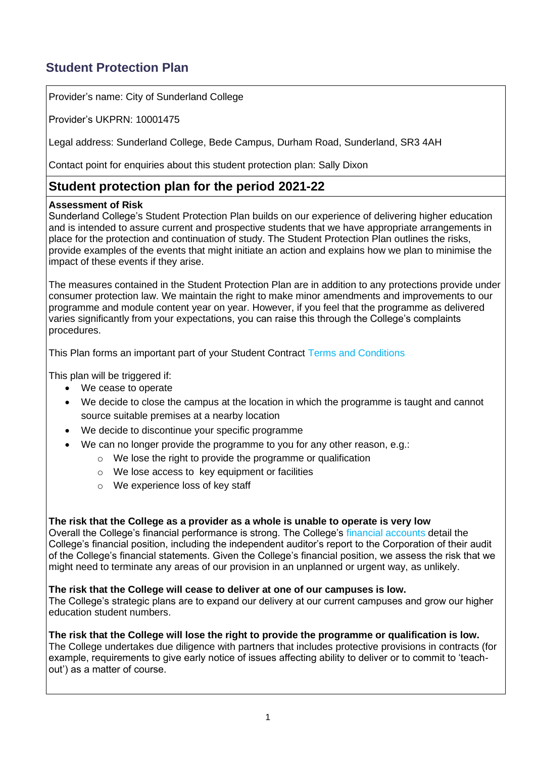# **Student Protection Plan**

Provider's name: City of Sunderland College

Provider's UKPRN: 10001475

Legal address: Sunderland College, Bede Campus, Durham Road, Sunderland, SR3 4AH

Contact point for enquiries about this student protection plan: Sally Dixon

# **Student protection plan for the period 2021-22**

# **Assessment of Risk**

Sunderland College's Student Protection Plan builds on our experience of delivering higher education and is intended to assure current and prospective students that we have appropriate arrangements in place for the protection and continuation of study. The Student Protection Plan outlines the risks, provide examples of the events that might initiate an action and explains how we plan to minimise the impact of these events if they arise.

The measures contained in the Student Protection Plan are in addition to any protections provide under consumer protection law. We maintain the right to make minor amendments and improvements to our programme and module content year on year. However, if you feel that the programme as delivered varies significantly from your expectations, you can raise this through the College's complaints procedures.

This Plan forms an important part of your Student Contract [Terms and Conditions](https://mk0sunderlandotg6wth.kinstacdn.com/app/uploads/2021/06/Terms-and-Conditions-for-Studying-at-Sunderland-College.pdf)

This plan will be triggered if:

- We cease to operate
- We decide to close the campus at the location in which the programme is taught and cannot source suitable premises at a nearby location
- We decide to discontinue your specific programme
- We can no longer provide the programme to you for any other reason, e.g.:
	- o We lose the right to provide the programme or qualification
	- o We lose access to key equipment or facilities
	- o We experience loss of key staff

#### **The risk that the College as a provider as a whole is unable to operate is very low**

Overall the College's financial performance is strong. The College's [financial accounts](https://mk0epnexx4mxrm4fu08.kinstacdn.com/app/uploads/2020/02/Sunderland-Signed-Accounts-18-19.pdf) detail the College's financial position, including the independent auditor's report to the Corporation of their audit of the College's financial statements. Given the College's financial position, we assess the risk that we might need to terminate any areas of our provision in an unplanned or urgent way, as unlikely.

#### **The risk that the College will cease to deliver at one of our campuses is low.**

The College's strategic plans are to expand our delivery at our current campuses and grow our higher education student numbers.

#### **The risk that the College will lose the right to provide the programme or qualification is low.**

The College undertakes due diligence with partners that includes protective provisions in contracts (for example, requirements to give early notice of issues affecting ability to deliver or to commit to 'teachout') as a matter of course.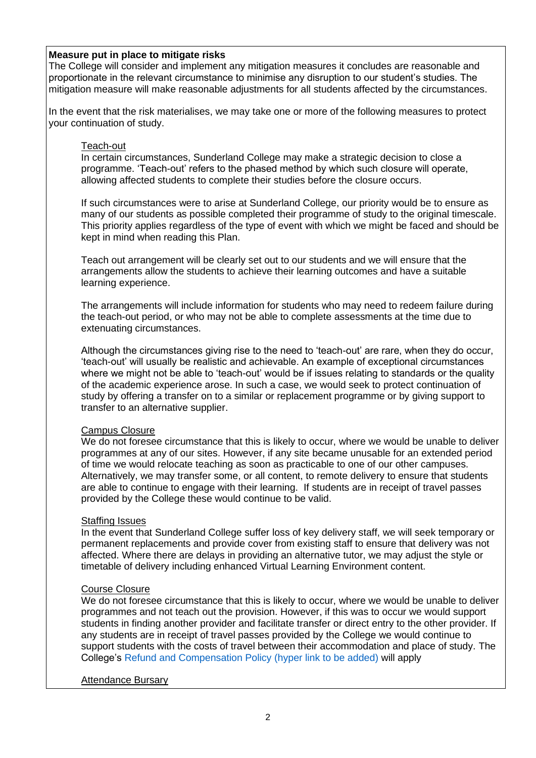#### **Measure put in place to mitigate risks**

The College will consider and implement any mitigation measures it concludes are reasonable and proportionate in the relevant circumstance to minimise any disruption to our student's studies. The mitigation measure will make reasonable adjustments for all students affected by the circumstances.

In the event that the risk materialises, we may take one or more of the following measures to protect your continuation of study.

#### Teach-out

In certain circumstances, Sunderland College may make a strategic decision to close a programme. 'Teach-out' refers to the phased method by which such closure will operate, allowing affected students to complete their studies before the closure occurs.

If such circumstances were to arise at Sunderland College, our priority would be to ensure as many of our students as possible completed their programme of study to the original timescale. This priority applies regardless of the type of event with which we might be faced and should be kept in mind when reading this Plan.

Teach out arrangement will be clearly set out to our students and we will ensure that the arrangements allow the students to achieve their learning outcomes and have a suitable learning experience.

The arrangements will include information for students who may need to redeem failure during the teach-out period, or who may not be able to complete assessments at the time due to extenuating circumstances.

Although the circumstances giving rise to the need to 'teach-out' are rare, when they do occur, 'teach-out' will usually be realistic and achievable. An example of exceptional circumstances where we might not be able to 'teach-out' would be if issues relating to standards or the quality of the academic experience arose. In such a case, we would seek to protect continuation of study by offering a transfer on to a similar or replacement programme or by giving support to transfer to an alternative supplier.

#### Campus Closure

We do not foresee circumstance that this is likely to occur, where we would be unable to deliver programmes at any of our sites. However, if any site became unusable for an extended period of time we would relocate teaching as soon as practicable to one of our other campuses. Alternatively, we may transfer some, or all content, to remote delivery to ensure that students are able to continue to engage with their learning. If students are in receipt of travel passes provided by the College these would continue to be valid.

#### **Staffing Issues**

In the event that Sunderland College suffer loss of key delivery staff, we will seek temporary or permanent replacements and provide cover from existing staff to ensure that delivery was not affected. Where there are delays in providing an alternative tutor, we may adjust the style or timetable of delivery including enhanced Virtual Learning Environment content.

### Course Closure

We do not foresee circumstance that this is likely to occur, where we would be unable to deliver programmes and not teach out the provision. However, if this was to occur we would support students in finding another provider and facilitate transfer or direct entry to the other provider. If any students are in receipt of travel passes provided by the College we would continue to support students with the costs of travel between their accommodation and place of study. The College's Refund and Compensation Policy (hyper link to be added) will apply

#### Attendance Bursary